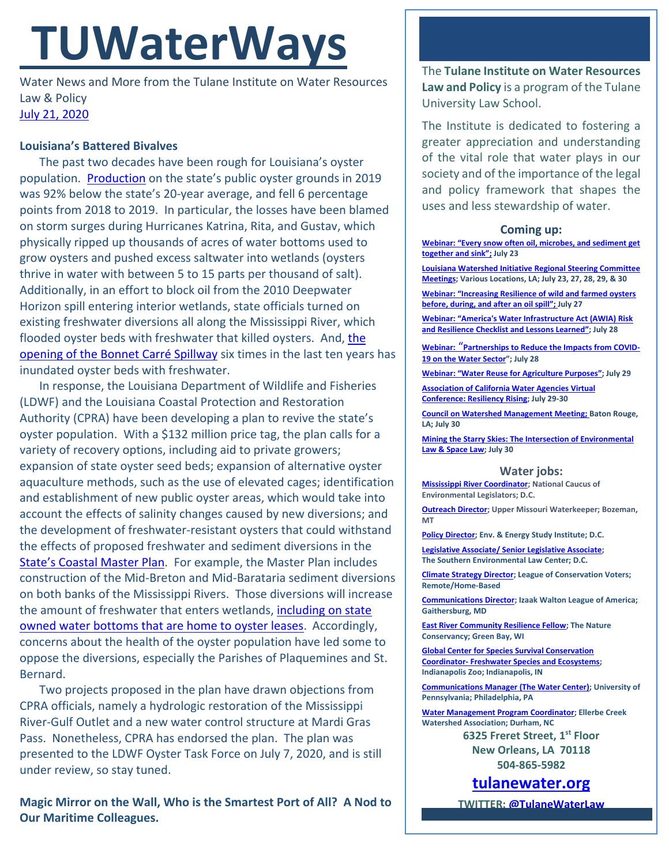# **TUWaterWays**

Water News and More from the Tulane Institute on Water Resources Law & Policy [July 21, 2020](https://thisdayinwaterhistory.wordpress.com/)

## **Louisiana's Battered Bivalves**

The past two decades have been rough for Louisiana's oyster population. [Production](https://www.nola.com/news/environment/article_e63df44a-c6ee-11ea-afb0-8ba7e3fa7020.html) on the state's public oyster grounds in 2019 was 92% below the state's 20-year average, and fell 6 percentage points from 2018 to 2019. In particular, the losses have been blamed on storm surges during Hurricanes Katrina, Rita, and Gustav, which physically ripped up thousands of acres of water bottoms used to grow oysters and pushed excess saltwater into wetlands (oysters thrive in water with between 5 to 15 parts per thousand of salt). Additionally, in an effort to block oil from the 2010 Deepwater Horizon spill entering interior wetlands, state officials turned on existing freshwater diversions all along the Mississippi River, which flooded oyster beds with freshwater that killed oysters. And, [the](https://www.npr.org/2019/11/28/783272904/fisheries-and-fishermen-hard-hit-by-decline-of-oysters-on-gulf-coast)  [opening of the Bonnet Carré](https://www.npr.org/2019/11/28/783272904/fisheries-and-fishermen-hard-hit-by-decline-of-oysters-on-gulf-coast) Spillway six times in the last ten years has inundated oyster beds with freshwater.

In response, the Louisiana Department of Wildlife and Fisheries (LDWF) and the Louisiana Coastal Protection and Restoration Authority (CPRA) have been developing a plan to revive the state's oyster population. With a \$132 million price tag, the plan calls for a variety of recovery options, including aid to private growers; expansion of state oyster seed beds; expansion of alternative oyster aquaculture methods, such as the use of elevated cages; identification and establishment of new public oyster areas, which would take into account the effects of salinity changes caused by new diversions; and the development of freshwater-resistant oysters that could withstand the effects of proposed freshwater and sediment diversions in the [State's Coastal Master Pl](http://coastal.la.gov/our-plan/2023-coastal-master-plan/)an. For example, the Master Plan includes construction of the Mid-Breton and Mid-Barataria sediment diversions on both banks of the Mississippi Rivers. Those diversions will increase the amount of freshwater that enters wetlands, [including](https://www.wlf.louisiana.gov/page/oyster-leases) on state [owned water bottoms that are home to oyster leases.](https://www.wlf.louisiana.gov/page/oyster-leases) Accordingly, concerns about the health of the oyster population have led some to oppose the diversions, especially the Parishes of Plaquemines and St. Bernard.

Two projects proposed in the plan have drawn objections from CPRA officials, namely a hydrologic restoration of the Mississippi River-Gulf Outlet and a new water control structure at Mardi Gras Pass. Nonetheless, CPRA has endorsed the plan. The plan was presented to the LDWF Oyster Task Force on July 7, 2020, and is still under review, so stay tuned.

**Magic Mirror on the Wall, Who is the Smartest Port of All? A Nod to Our Maritime Colleagues.**

The **Tulane Institute on Water Resources Law and Policy** is a program of the Tulane University Law School.

The Institute is dedicated to fostering a greater appreciation and understanding of the vital role that water plays in our society and of the importance of the legal and policy framework that shapes the uses and less stewardship of water.

### **Coming up:**

**[Webinar: "Every snow often oil, microbes, and sediment get](https://www.laseagrant.org/event/every-snow-often-oil/?instance_id=1027)  [together and sink";](https://www.laseagrant.org/event/every-snow-often-oil/?instance_id=1027) July 23**

**[Louisiana Watershed Initiative Regional Steering Committee](https://www.watershed.la.gov/get-involved)  [Meetings;](https://www.watershed.la.gov/get-involved) Various Locations, LA; July 23, 27, 28, 29, & 30**

**[Webinar: "Increasing Resilience of wild and farmed o](https://www.laseagrant.org/event/oysters-adapting-to-a-changing-gulf-part2/?instance_id=1029)ysters [before, during, and after an oil spill";](https://www.laseagrant.org/event/oysters-adapting-to-a-changing-gulf-part2/?instance_id=1029) July 27**

**Webinar: "[America's Water Infrastructure Act \(AWIA\) Risk](https://www.epa.gov/water-research/small-systems-monthly-webinar-series)  [and Resilience Checklist and Lessons Learned](https://www.epa.gov/water-research/small-systems-monthly-webinar-series)"; July 28**

**Webinar:** "**[Partnerships to Reduce the Impacts from COVID-](https://www.nacwa.org/conferences-events/forums-workshops-seminars-executive-education/impacts-from-covid-19)[19 on the Water Sector](https://www.nacwa.org/conferences-events/forums-workshops-seminars-executive-education/impacts-from-covid-19)"; July 28**

**Webinar: "W[ater Reuse for Agriculture Purposes](https://www.epa.gov/water-research/water-research-webinar-series)"; July 29**

**[Association of California Water Agencies](https://www.acwa.com/events/2020-spring-conference-exhibition/) Virtual [Conference: Resiliency Rising;](https://www.acwa.com/events/2020-spring-conference-exhibition/) July 29-30**

**[Council on Watershed Management Meeting; B](https://www.watershed.la.gov/calendar/event/5287/)aton Rouge, LA; July 30**

**[Mining the Starry Skies: The Intersection of Environmental](https://www.eli.org/events/mining-starry-skies-intersection-environmental-law-space-law)  [Law & Space Law;](https://www.eli.org/events/mining-starry-skies-intersection-environmental-law-space-law) July 30**

#### **Water jobs:**

**[Mississippi River Coordinator;](https://www.ncel.net/news/#careers) National Caucus of Environmental Legislators; D.C.**

**[Outreach Director;](http://www.uppermissouriwaterkeeper.org/were-hiring-join-our-waterkeeper-team/) Upper Missouri Waterkeeper; Bozeman, MT**

**[Policy Director;](https://www.eesi.org/about/careers) Env. & Energy Study Institute; D.C.**

**[Legislative Associate/ Senior Legislative Associate;](https://www.southernenvironment.org/about-selc/careers/open-positions/legislative-associate-senior-legislative-associate) The Southern Environmental Law Center; D.C.**

**[Climate Strategy Director;](https://www.lcv.org/careers/lcv-job-openings/climate-strategy-director/) League of Conservation Voters; Remote/Home-Based**

**[Communications Director;](https://www.iwla.org/about/jobs) Izaak Walton League of America; Gaithersburg, MD**

**[East River Community Resilience Fellow;](https://careers.nature.org/psp/tnccareers/APPLICANT/APPL/c/HRS_HRAM.HRS_APP_SCHJOB.GBL?Page=HRS_APP_JBPST&Action=U&FOCUS=Applicant&SiteId=1&JobOpeningId=48825&PostingSeq=1) The Nature Conservancy; Green Bay, WI**

**[Global Center for Species Survival Conservation](https://www.indianapoliszoo.com/jobs-volunteer/available-positions/conservation-coordinator-freshwater-species-ecosystems/)  Coordinator- [Freshwater Species and Ecosystems;](https://www.indianapoliszoo.com/jobs-volunteer/available-positions/conservation-coordinator-freshwater-species-ecosystems/) Indianapolis Zoo; Indianapolis, IN**

**[Communications Manager \(The Water Center\);](https://wd1.myworkdaysite.com/en-US/recruiting/upenn/careers-at-penn/job/McNeil-Building---3rd-Floor/Communications-Manager_JR00020636) University of Pennsylvania; Philadelphia, PA**

**[Water Management Program Coordinator;](https://www.ellerbecreek.org/careers.html) Ellerbe Creek Watershed Association; Durham, NC**

**6325 Freret Street, 1st Floor New Orleans, LA 70118 504-865-5982**

**[tulanewater.org](file:///C:/Users/waterlaw/Downloads/tulanewater.org)**

**TWITTER[: @TulaneWaterLaw](http://www.twitter.com/TulaneWaterLaw)**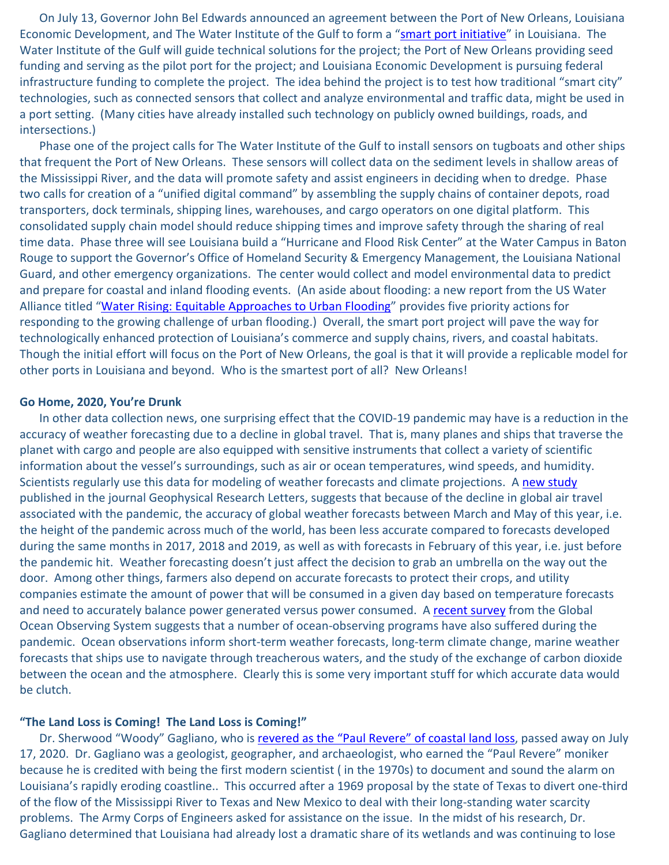On July 13, Governor John Bel Edwards announced an agreement between the Port of New Orleans, Louisiana Economic Development, and The Water Institute of the Gulf to form a "[smart port initiative](https://www.bizneworleans.com/louisiana-announces-smart-port-initiative/)" in Louisiana. The Water Institute of the Gulf will guide technical solutions for the project; the Port of New Orleans providing seed funding and serving as the pilot port for the project; and Louisiana Economic Development is pursuing federal infrastructure funding to complete the project. The idea behind the project is to test how traditional "smart city" technologies, such as connected sensors that collect and analyze environmental and traffic data, might be used in a port setting. (Many cities have already installed such technology on publicly owned buildings, roads, and intersections.)

Phase one of the project calls for The Water Institute of the Gulf to install sensors on tugboats and other ships that frequent the Port of New Orleans. These sensors will collect data on the sediment levels in shallow areas of the Mississippi River, and the data will promote safety and assist engineers in deciding when to dredge. Phase two calls for creation of a "unified digital command" by assembling the supply chains of container depots, road transporters, dock terminals, shipping lines, warehouses, and cargo operators on one digital platform. This consolidated supply chain model should reduce shipping times and improve safety through the sharing of real time data. Phase three will see Louisiana build a "Hurricane and Flood Risk Center" at the Water Campus in Baton Rouge to support the Governor's Office of Homeland Security & Emergency Management, the Louisiana National Guard, and other emergency organizations. The center would collect and model environmental data to predict and prepare for coastal and inland flooding events. (An aside about flooding: a new report from the US Water Alliance titled "[Water Rising: Equitable Approaches to Urban Flooding](http://www.uswateralliance.org/sites/uswateralliance.org/files/publications/Water%20Rising%20paper.pdf)" provides five priority actions for responding to the growing challenge of urban flooding.) Overall, the smart port project will pave the way for technologically enhanced protection of Louisiana's commerce and supply chains, rivers, and coastal habitats. Though the initial effort will focus on the Port of New Orleans, the goal is that it will provide a replicable model for other ports in Louisiana and beyond. Who is the smartest port of all? New Orleans!

## **Go Home, 2020, You're Drunk**

In other data collection news, one surprising effect that the COVID-19 pandemic may have is a reduction in the accuracy of weather forecasting due to a decline in global travel. That is, many planes and ships that traverse the planet with cargo and people are also equipped with sensitive instruments that collect a variety of scientific information about the vessel's surroundings, such as air or ocean temperatures, wind speeds, and humidity. Scientists regularly use this data for modeling of weather forecasts and climate projections. A [new study](https://agupubs.onlinelibrary.wiley.com/doi/10.1029/2020GL088613) published in the journal Geophysical Research Letters, suggests that because of the decline in global air travel associated with the pandemic, the accuracy of global weather forecasts between March and May of this year, i.e. the height of the pandemic across much of the world, has been less accurate compared to forecasts developed during the same months in 2017, 2018 and 2019, as well as with forecasts in February of this year, i.e. just before the pandemic hit. Weather forecasting doesn't just affect the decision to grab an umbrella on the way out the door. Among other things, farmers also depend on accurate forecasts to protect their crops, and utility companies estimate the amount of power that will be consumed in a given day based on temperature forecasts and need to accurately balance power generated versus power consumed. A [recent survey](https://www.goosocean.org/index.php?option=com_content&view=article&id=245:covid-19-and-ocean-observations&catid=13&Itemid=247) from the Global Ocean Observing System suggests that a number of ocean-observing programs have also suffered during the pandemic. Ocean observations inform short-term weather forecasts, long-term climate change, marine weather forecasts that ships use to navigate through treacherous waters, and the study of the exchange of carbon dioxide between the ocean and the atmosphere. Clearly this is some very important stuff for which accurate data would be clutch.

## **"The Land Loss is Coming! The Land Loss is Coming!"**

Dr. Sherwood "Woody" Gagliano, who is revered as the "Paul Revere" [of coastal land loss,](https://www.nola.com/news/environment/article_8574789a-c965-11ea-8e4d-eb4bafe9881e.html) passed away on July 17, 2020. Dr. Gagliano was a geologist, geographer, and archaeologist, who earned the "Paul Revere" moniker because he is credited with being the first modern scientist ( in the 1970s) to document and sound the alarm on Louisiana's rapidly eroding coastline.. This occurred after a 1969 proposal by the state of Texas to divert one-third of the flow of the Mississippi River to Texas and New Mexico to deal with their long-standing water scarcity problems. The Army Corps of Engineers asked for assistance on the issue. In the midst of his research, Dr. Gagliano determined that Louisiana had already lost a dramatic share of its wetlands and was continuing to lose